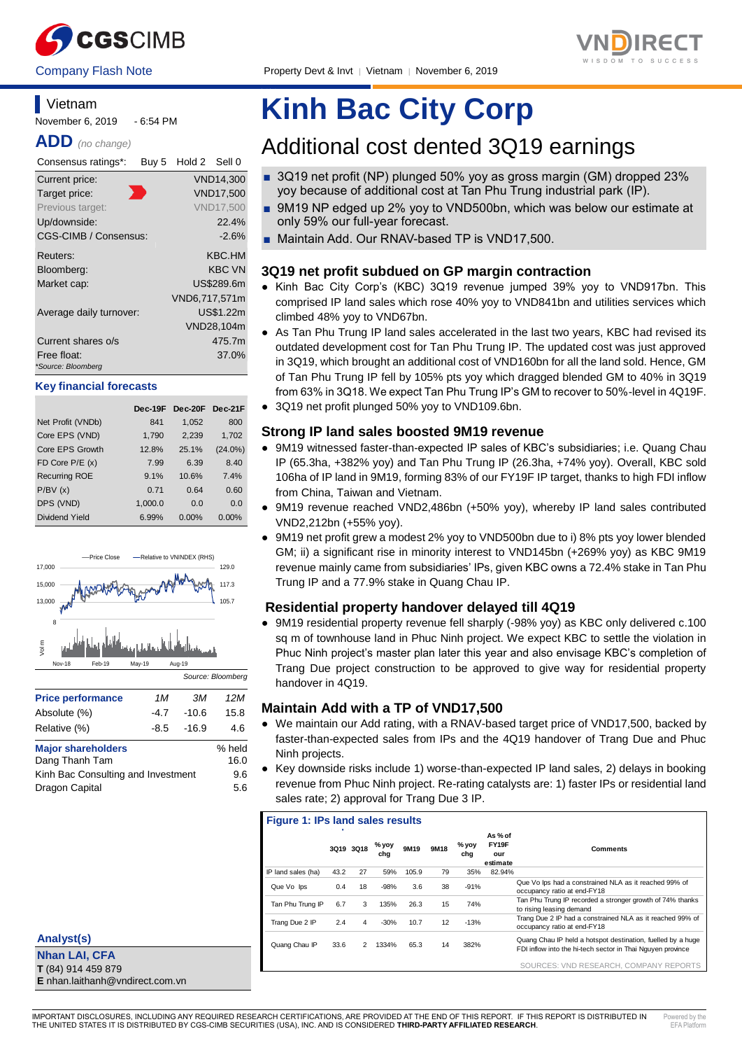



Company Flash Note Property Devt & Invt | Vietnam | November 6, 2019

#### **Vietnam** November 6, 2019 - 6:54 PM

**ADD** *(no change)*

| Consensus ratings*:               | Buy 5 | Hold 2 Sell 0 |                  |
|-----------------------------------|-------|---------------|------------------|
| Current price:                    |       |               | <b>VND14,300</b> |
| Target price:                     |       |               | <b>VND17.500</b> |
| Previous target:                  |       |               | <b>VND17.500</b> |
| Up/downside:                      |       |               | 22.4%            |
| CGS-CIMB / Consensus:             |       |               | $-2.6%$          |
| Reuters:                          |       |               | KBC.HM           |
| Bloomberg:                        |       |               | <b>KBC VN</b>    |
| Market cap:                       |       |               | US\$289.6m       |
|                                   |       | VND6,717,571m |                  |
| Average daily turnover:           |       |               | US\$1.22m        |
|                                   |       |               | VND28,104m       |
| Current shares o/s                |       |               | 475.7m           |
| Free float:<br>*Source: Bloomberg |       |               | 37.0%            |

#### **Key financial forecasts**

|                      | Dec-19F | Dec-20F  | Dec-21F    |
|----------------------|---------|----------|------------|
| Net Profit (VNDb)    | 841     | 1,052    | 800        |
| Core EPS (VND)       | 1,790   | 2,239    | 1,702      |
| Core EPS Growth      | 12.8%   | 25.1%    | $(24.0\%)$ |
| FD Core $P/E(x)$     | 7.99    | 6.39     | 8.40       |
| <b>Recurring ROE</b> | 9.1%    | 10.6%    | 7.4%       |
| P/BV(x)              | 0.71    | 0.64     | 0.60       |
| DPS (VND)            | 1,000.0 | 0.0      | 0.0        |
| Dividend Yield       | 6.99%   | $0.00\%$ | $0.00\%$   |



#### **Major shareholders** % held Dang Thanh Tam 16.0 Kinh Bac Consulting and Investment 9.6

Dragon Capital 5.6

| <b>Analyst(s)</b> |  |
|-------------------|--|
|                   |  |

**Nhan LAI, CFA T** (84) 914 459 879 **E** nhan.laithanh@vndirect.com.vn

# **Kinh Bac City Corp**

## Additional cost dented 3Q19 earnings

- 3Q19 net profit (NP) plunged 50% yoy as gross margin (GM) dropped 23% yoy because of additional cost at Tan Phu Trung industrial park (IP).
- 9M19 NP edged up 2% yoy to VND500bn, which was below our estimate at only 59% our full-year forecast.
- Maintain Add. Our RNAV-based TP is VND17,500.

### **3Q19 net profit subdued on GP margin contraction**

- Kinh Bac City Corp's (KBC) 3Q19 revenue jumped 39% yoy to VND917bn. This comprised IP land sales which rose 40% yoy to VND841bn and utilities services which climbed 48% yoy to VND67bn.
- As Tan Phu Trung IP land sales accelerated in the last two years, KBC had revised its outdated development cost for Tan Phu Trung IP. The updated cost was just approved in 3Q19, which brought an additional cost of VND160bn for all the land sold. Hence, GM of Tan Phu Trung IP fell by 105% pts yoy which dragged blended GM to 40% in 3Q19 from 63% in 3Q18. We expect Tan Phu Trung IP's GM to recover to 50%-level in 4Q19F.
- 3Q19 net profit plunged 50% yoy to VND109.6bn.

#### **Strong IP land sales boosted 9M19 revenue**

- 9M19 witnessed faster-than-expected IP sales of KBC's subsidiaries; i.e. Quang Chau IP (65.3ha, +382% yoy) and Tan Phu Trung IP (26.3ha, +74% yoy). Overall, KBC sold 106ha of IP land in 9M19, forming 83% of our FY19F IP target, thanks to high FDI inflow from China, Taiwan and Vietnam.
- 9M19 revenue reached VND2,486bn (+50% yoy), whereby IP land sales contributed VND2,212bn (+55% yoy).
- 9M19 net profit grew a modest 2% yoy to VND500bn due to i) 8% pts yoy lower blended GM; ii) a significant rise in minority interest to VND145bn (+269% yoy) as KBC 9M19 revenue mainly came from subsidiaries' IPs, given KBC owns a 72.4% stake in Tan Phu Trung IP and a 77.9% stake in Quang Chau IP.

#### **Residential property handover delayed till 4Q19**

● 9M19 residential property revenue fell sharply (-98% yoy) as KBC only delivered c.100 sq m of townhouse land in Phuc Ninh project. We expect KBC to settle the violation in Phuc Ninh project's master plan later this year and also envisage KBC's completion of Trang Due project construction to be approved to give way for residential property handover in 4Q19.

#### **Maintain Add with a TP of VND17,500**

- We maintain our Add rating, with a RNAV-based target price of VND17,500, backed by faster-than-expected sales from IPs and the 4Q19 handover of Trang Due and Phuc Ninh projects.
- Key downside risks include 1) worse-than-expected IP land sales, 2) delays in booking revenue from Phuc Ninh project. Re-rating catalysts are: 1) faster IPs or residential land sales rate; 2) approval for Trang Due 3 IP.

| <b>Figure 1: IPs land sales results</b> |      |               |              |       |      |              |                                     |                                                                                                                           |  |  |
|-----------------------------------------|------|---------------|--------------|-------|------|--------------|-------------------------------------|---------------------------------------------------------------------------------------------------------------------------|--|--|
|                                         |      | 3019 3018     | % yoy<br>cha | 9M19  | 9M18 | % yoy<br>cha | As % of<br>FY19F<br>our<br>estimate | <b>Comments</b>                                                                                                           |  |  |
| IP land sales (ha)                      | 43.2 | 27            | 59%          | 105.9 | 79   | 35%          | 82.94%                              |                                                                                                                           |  |  |
| Que Vo Ips                              | 0.4  | 18            | $-98%$       | 3.6   | 38   | $-91%$       |                                     | Que Vo Ips had a constrained NLA as it reached 99% of<br>occupancy ratio at end-FY18                                      |  |  |
| Tan Phu Trung IP                        | 6.7  | 3             | 135%         | 26.3  | 15   | 74%          |                                     | Tan Phu Trung IP recorded a stronger growth of 74% thanks<br>to rising leasing demand                                     |  |  |
| Trang Due 2 IP                          | 2.4  | 4             | $-30%$       | 10.7  | 12   | $-13%$       |                                     | Trang Due 2 IP had a constrained NLA as it reached 99% of<br>occupancy ratio at end-FY18                                  |  |  |
| Quang Chau IP                           | 33.6 | $\mathcal{P}$ | 1334%        | 65.3  | 14   | 382%         |                                     | Quang Chau IP held a hotspot destination, fuelled by a huge<br>FDI inflow into the hi-tech sector in Thai Nguyen province |  |  |
|                                         |      |               |              |       |      |              |                                     | SOURCES: VND RESEARCH, COMPANY REPORTS                                                                                    |  |  |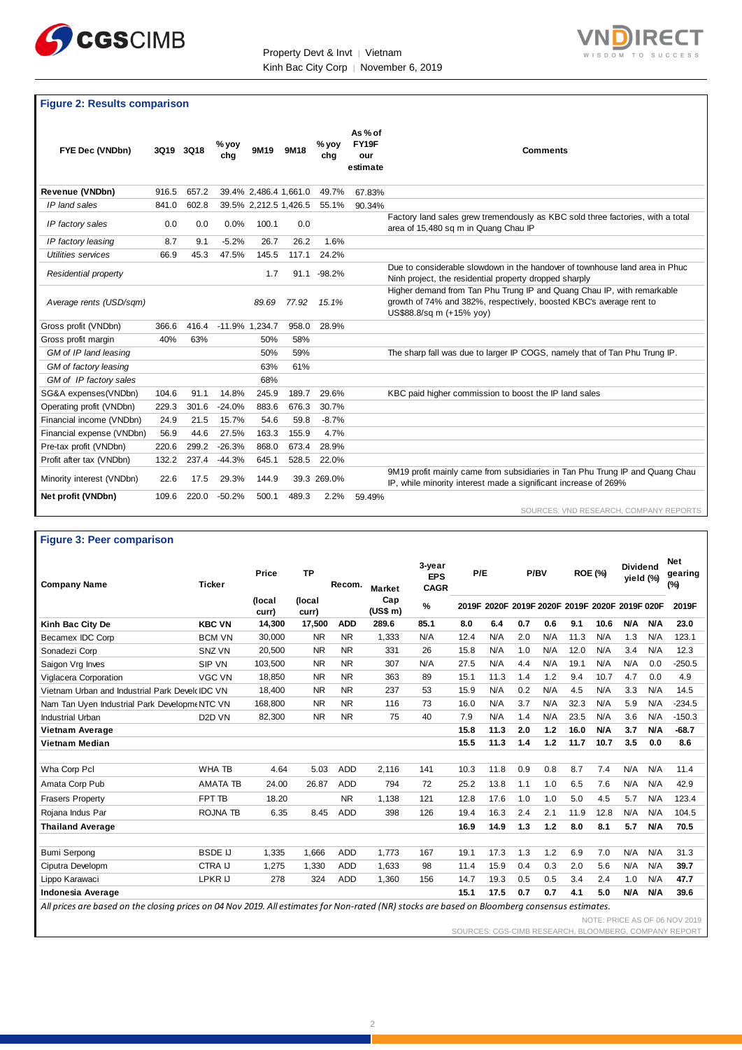



#### **Figure 2: Results comparison**

| FYE Dec (VNDbn)           | 3Q19  | 3Q18  | % yoy<br>chg | 9M19                  | 9M18  | % yoy<br>chg | As % of<br>FY19F<br>our<br>estimate | <b>Comments</b>                                                                                                                                                           |
|---------------------------|-------|-------|--------------|-----------------------|-------|--------------|-------------------------------------|---------------------------------------------------------------------------------------------------------------------------------------------------------------------------|
| Revenue (VNDbn)           | 916.5 | 657.2 |              | 39.4% 2,486.4 1,661.0 |       | 49.7%        | 67.83%                              |                                                                                                                                                                           |
| IP land sales             | 841.0 | 602.8 |              | 39.5% 2,212.5 1,426.5 |       | 55.1%        | 90.34%                              |                                                                                                                                                                           |
| IP factory sales          | 0.0   | 0.0   | 0.0%         | 100.1                 | 0.0   |              |                                     | Factory land sales grew tremendously as KBC sold three factories, with a total<br>area of 15,480 sq m in Quang Chau IP                                                    |
| IP factory leasing        | 8.7   | 9.1   | $-5.2%$      | 26.7                  | 26.2  | 1.6%         |                                     |                                                                                                                                                                           |
| Utilities services        | 66.9  | 45.3  | 47.5%        | 145.5                 | 117.1 | 24.2%        |                                     |                                                                                                                                                                           |
| Residential property      |       |       |              | 1.7                   | 91.1  | $-98.2%$     |                                     | Due to considerable slowdown in the handover of townhouse land area in Phuc<br>Ninh project, the residential property dropped sharply                                     |
| Average rents (USD/sgm)   |       |       |              | 89.69                 | 77.92 | 15.1%        |                                     | Higher demand from Tan Phu Trung IP and Quang Chau IP, with remarkable<br>growth of 74% and 382%, respectively, boosted KBC's average rent to<br>US\$88.8/sq m (+15% yoy) |
| Gross profit (VNDbn)      | 366.6 | 416.4 |              | -11.9% 1.234.7        | 958.0 | 28.9%        |                                     |                                                                                                                                                                           |
| Gross profit margin       | 40%   | 63%   |              | 50%                   | 58%   |              |                                     |                                                                                                                                                                           |
| GM of IP land leasing     |       |       |              | 50%                   | 59%   |              |                                     | The sharp fall was due to larger IP COGS, namely that of Tan Phu Trung IP.                                                                                                |
| GM of factory leasing     |       |       |              | 63%                   | 61%   |              |                                     |                                                                                                                                                                           |
| GM of IP factory sales    |       |       |              | 68%                   |       |              |                                     |                                                                                                                                                                           |
| SG&A expenses(VNDbn)      | 104.6 | 91.1  | 14.8%        | 245.9                 | 189.7 | 29.6%        |                                     | KBC paid higher commission to boost the IP land sales                                                                                                                     |
| Operating profit (VNDbn)  | 229.3 | 301.6 | $-24.0%$     | 883.6                 | 676.3 | 30.7%        |                                     |                                                                                                                                                                           |
| Financial income (VNDbn)  | 24.9  | 21.5  | 15.7%        | 54.6                  | 59.8  | $-8.7%$      |                                     |                                                                                                                                                                           |
| Financial expense (VNDbn) | 56.9  | 44.6  | 27.5%        | 163.3                 | 155.9 | 4.7%         |                                     |                                                                                                                                                                           |
| Pre-tax profit (VNDbn)    | 220.6 | 299.2 | $-26.3%$     | 868.0                 | 673.4 | 28.9%        |                                     |                                                                                                                                                                           |
| Profit after tax (VNDbn)  | 132.2 | 237.4 | $-44.3%$     | 645.1                 | 528.5 | 22.0%        |                                     |                                                                                                                                                                           |
| Minority interest (VNDbn) | 22.6  | 17.5  | 29.3%        | 144.9                 |       | 39.3 269.0%  |                                     | 9M19 profit mainly came from subsidiaries in Tan Phu Trung IP and Quang Chau<br>IP, while minority interest made a significant increase of 269%                           |
| Net profit (VNDbn)        | 109.6 | 220.0 | $-50.2%$     | 500.1                 | 489.3 | 2.2%         | 59.49%                              | SOURCES: VND RESEARCH, COMPANY REPORTS                                                                                                                                    |

#### **Figure 3: Peer comparison**

| <b>Company Name</b>                                                                                                                            | <b>Ticker</b>       | <b>Price</b>    | <b>TP</b>       | Recom.     | <b>Market</b>   | 3-year<br><b>EPS</b><br><b>CAGR</b> | P/E  |                                                | P/BV |     | <b>ROE (%)</b> |            | <b>Dividend</b><br>yield (%) |            | <b>Net</b><br>gearing<br>(%) |
|------------------------------------------------------------------------------------------------------------------------------------------------|---------------------|-----------------|-----------------|------------|-----------------|-------------------------------------|------|------------------------------------------------|------|-----|----------------|------------|------------------------------|------------|------------------------------|
|                                                                                                                                                |                     | (local<br>curr) | (local<br>curr) |            | Cap<br>(US\$ m) | $\%$                                |      | 2019F 2020F 2019F 2020F 2019F 2020F 2019F 020F |      |     |                |            |                              |            | 2019F                        |
| Kinh Bac City De                                                                                                                               | <b>KBC VN</b>       | 14,300          | 17,500          | <b>ADD</b> | 289.6           | 85.1                                | 8.0  | 6.4                                            | 0.7  | 0.6 | 9.1            | 10.6       | <b>N/A</b>                   | <b>N/A</b> | 23.0                         |
| Becamex IDC Corp                                                                                                                               | <b>BCM VN</b>       | 30,000          | <b>NR</b>       | <b>NR</b>  | 1,333           | N/A                                 | 12.4 | N/A                                            | 2.0  | N/A | 11.3           | N/A        | 1.3                          | N/A        | 123.1                        |
| Sonadezi Corp                                                                                                                                  | SNZ VN              | 20.500          | <b>NR</b>       | <b>NR</b>  | 331             | 26                                  | 15.8 | N/A                                            | 1.0  | N/A | 12.0           | N/A        | 3.4                          | N/A        | 12.3                         |
| Saigon Vrg Inves                                                                                                                               | SIP VN              | 103.500         | <b>NR</b>       | <b>NR</b>  | 307             | N/A                                 | 27.5 | N/A                                            | 4.4  | N/A | 19.1           | N/A        | N/A                          | 0.0        | $-250.5$                     |
| Viglacera Corporation                                                                                                                          | <b>VGC VN</b>       | 18,850          | <b>NR</b>       | <b>NR</b>  | 363             | 89                                  | 15.1 | 11.3                                           | 1.4  | 1.2 | 9.4            | 10.7       | 4.7                          | 0.0        | 4.9                          |
| Vietnam Urban and Industrial Park DeveloIDC VN                                                                                                 |                     | 18.400          | <b>NR</b>       | <b>NR</b>  | 237             | 53                                  | 15.9 | N/A                                            | 0.2  | N/A | 4.5            | N/A        | 3.3                          | N/A        | 14.5                         |
| Nam Tan Uyen Industrial Park Developm NTC VN                                                                                                   |                     | 168.800         | <b>NR</b>       | <b>NR</b>  | 116             | 73                                  | 16.0 | N/A                                            | 3.7  | N/A | 32.3           | N/A        | 5.9                          | N/A        | $-234.5$                     |
| Industrial Urban                                                                                                                               | D <sub>2</sub> D VN | 82,300          | <b>NR</b>       | <b>NR</b>  | 75              | 40                                  | 7.9  | N/A                                            | 1.4  | N/A | 23.5           | N/A        | 3.6                          | N/A        | $-150.3$                     |
| Vietnam Average                                                                                                                                |                     |                 |                 |            |                 |                                     | 15.8 | 11.3                                           | 2.0  | 1.2 | 16.0           | <b>N/A</b> | 3.7                          | <b>N/A</b> | $-68.7$                      |
| Vietnam Median                                                                                                                                 |                     |                 |                 |            |                 |                                     | 15.5 | 11.3                                           | 1.4  | 1.2 | 11.7           | 10.7       | 3.5                          | 0.0        | 8.6                          |
|                                                                                                                                                |                     |                 |                 |            |                 |                                     |      |                                                |      |     |                |            |                              |            |                              |
| Wha Corp Pcl                                                                                                                                   | <b>WHA TB</b>       | 4.64            | 5.03            | <b>ADD</b> | 2.116           | 141                                 | 10.3 | 11.8                                           | 0.9  | 0.8 | 8.7            | 7.4        | N/A                          | N/A        | 11.4                         |
| Amata Corp Pub                                                                                                                                 | <b>AMATA TB</b>     | 24.00           | 26.87           | <b>ADD</b> | 794             | 72                                  | 25.2 | 13.8                                           | 1.1  | 1.0 | 6.5            | 7.6        | N/A                          | N/A        | 42.9                         |
| <b>Frasers Property</b>                                                                                                                        | FPT TB              | 18.20           |                 | <b>NR</b>  | 1.138           | 121                                 | 12.8 | 17.6                                           | 1.0  | 1.0 | 5.0            | 4.5        | 5.7                          | N/A        | 123.4                        |
| Rojana Indus Par                                                                                                                               | <b>ROJNA TB</b>     | 6.35            | 8.45            | <b>ADD</b> | 398             | 126                                 | 19.4 | 16.3                                           | 2.4  | 2.1 | 11.9           | 12.8       | N/A                          | N/A        | 104.5                        |
| <b>Thailand Average</b>                                                                                                                        |                     |                 |                 |            |                 |                                     | 16.9 | 14.9                                           | 1.3  | 1.2 | 8.0            | 8.1        | 5.7                          | <b>N/A</b> | 70.5                         |
|                                                                                                                                                |                     |                 |                 |            |                 |                                     |      |                                                |      |     |                |            |                              |            |                              |
| <b>Bumi Serpong</b>                                                                                                                            | <b>BSDE IJ</b>      | 1,335           | 1.666           | <b>ADD</b> | 1.773           | 167                                 | 19.1 | 17.3                                           | 1.3  | 1.2 | 6.9            | 7.0        | N/A                          | N/A        | 31.3                         |
| Ciputra Developm                                                                                                                               | <b>CTRA IJ</b>      | 1,275           | 1,330           | <b>ADD</b> | 1,633           | 98                                  | 11.4 | 15.9                                           | 0.4  | 0.3 | 2.0            | 5.6        | N/A                          | N/A        | 39.7                         |
| Lippo Karawaci                                                                                                                                 | LPKR IJ             | 278             | 324             | <b>ADD</b> | 1,360           | 156                                 | 14.7 | 19.3                                           | 0.5  | 0.5 | 3.4            | 2.4        | 1.0                          | N/A        | 47.7                         |
| Indonesia Average                                                                                                                              |                     |                 |                 |            |                 |                                     | 15.1 | 17.5                                           | 0.7  | 0.7 | 4.1            | 5.0        | <b>N/A</b>                   | <b>N/A</b> | 39.6                         |
| All prices are based on the closing prices on 04 Nov 2019. All estimates for Non-rated (NR) stocks are based on Bloomberg consensus estimates. |                     |                 |                 |            |                 |                                     |      |                                                |      |     |                |            |                              |            |                              |

NOTE: PRICE AS OF 06 NOV 2019 SOURCES: CGS-CIMB RESEARCH, BLOOMBERG, COMPANY REPORT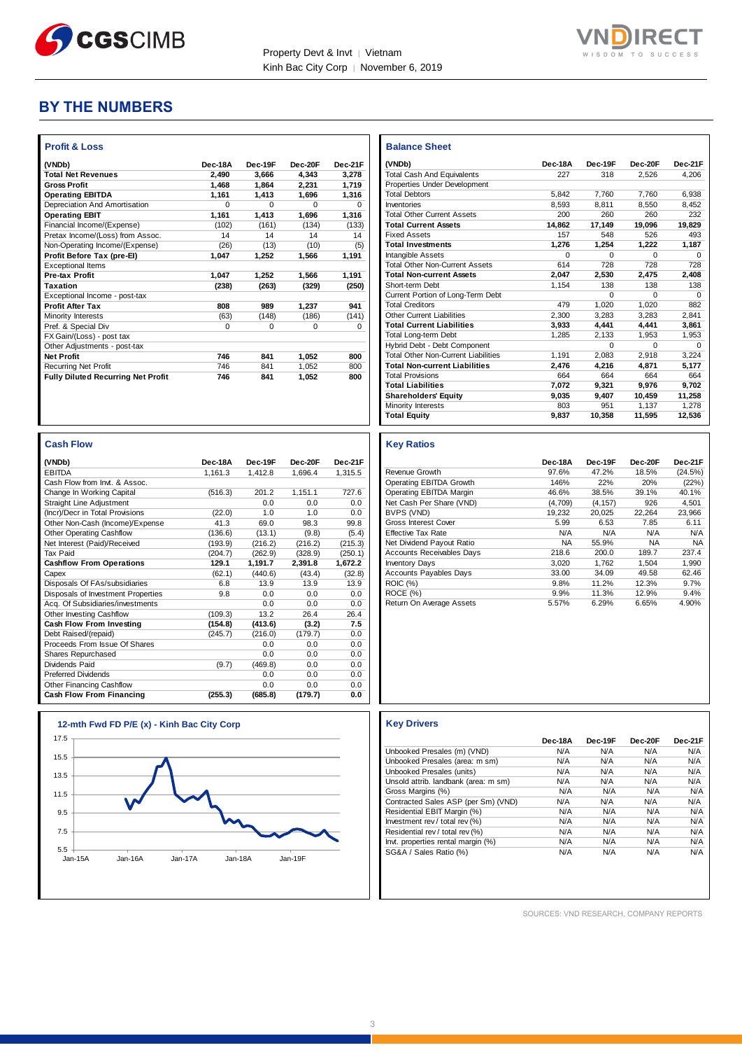



## **BY THE NUMBERS**

| <b>Profit &amp; Loss</b>                  |          |          |          |          |
|-------------------------------------------|----------|----------|----------|----------|
| (VNDb)                                    | Dec-18A  | Dec-19F  | Dec-20F  | Dec-21F  |
| <b>Total Net Revenues</b>                 | 2.490    | 3.666    | 4.343    | 3.278    |
| <b>Gross Profit</b>                       | 1.468    | 1.864    | 2,231    | 1.719    |
| <b>Operating EBITDA</b>                   | 1,161    | 1,413    | 1.696    | 1,316    |
| Depreciation And Amortisation             | $\Omega$ | $\Omega$ | $\Omega$ | $\Omega$ |
| <b>Operating EBIT</b>                     | 1,161    | 1.413    | 1,696    | 1,316    |
| Financial Income/(Expense)                | (102)    | (161)    | (134)    | (133)    |
| Pretax Income/(Loss) from Assoc.          | 14       | 14       | 14       | 14       |
| Non-Operating Income/(Expense)            | (26)     | (13)     | (10)     | (5)      |
| Profit Before Tax (pre-El)                | 1,047    | 1.252    | 1.566    | 1,191    |
| <b>Exceptional Items</b>                  |          |          |          |          |
| <b>Pre-tax Profit</b>                     | 1,047    | 1,252    | 1.566    | 1,191    |
| <b>Taxation</b>                           | (238)    | (263)    | (329)    | (250)    |
| Exceptional Income - post-tax             |          |          |          |          |
| <b>Profit After Tax</b>                   | 808      | 989      | 1,237    | 941      |
| Minority Interests                        | (63)     | (148)    | (186)    | (141)    |
| Pref. & Special Div                       | 0        | 0        | $\Omega$ | $\Omega$ |
| FX Gain/(Loss) - post tax                 |          |          |          |          |
| Other Adjustments - post-tax              |          |          |          |          |
| <b>Net Profit</b>                         | 746      | 841      | 1,052    | 800      |
| <b>Recurring Net Profit</b>               | 746      | 841      | 1.052    | 800      |
| <b>Fully Diluted Recurring Net Profit</b> | 746      | 841      | 1.052    | 800      |
|                                           |          |          |          |          |

| <b>Cash Flow</b>                   |         |         |         |         |
|------------------------------------|---------|---------|---------|---------|
| (VNDb)                             | Dec-18A | Dec-19F | Dec-20F | Dec-21F |
| <b>EBITDA</b>                      | 1.161.3 | 1.412.8 | 1.696.4 | 1,315.5 |
| Cash Flow from Invt. & Assoc.      |         |         |         |         |
| Change In Working Capital          | (516.3) | 201.2   | 1,151.1 | 727.6   |
| <b>Straight Line Adjustment</b>    |         | 0.0     | 0.0     | 0.0     |
| (Incr)/Decr in Total Provisions    | (22.0)  | 1.0     | 1.0     | 0.0     |
| Other Non-Cash (Income)/Expense    | 41.3    | 69.0    | 98.3    | 99.8    |
| Other Operating Cashflow           | (136.6) | (13.1)  | (9.8)   | (5.4)   |
| Net Interest (Paid)/Received       | (193.9) | (216.2) | (216.2) | (215.3) |
| <b>Tax Paid</b>                    | (204.7) | (262.9) | (328.9) | (250.1) |
| <b>Cashflow From Operations</b>    | 129.1   | 1,191.7 | 2,391.8 | 1,672.2 |
| Capex                              | (62.1)  | (440.6) | (43.4)  | (32.8)  |
| Disposals Of FAs/subsidiaries      | 6.8     | 13.9    | 13.9    | 13.9    |
| Disposals of Investment Properties | 9.8     | 0.0     | 0.0     | 0.0     |
| Acq. Of Subsidiaries/investments   |         | 0.0     | 0.0     | 0.0     |
| Other Investing Cashflow           | (109.3) | 13.2    | 26.4    | 26.4    |
| Cash Flow From Investing           | (154.8) | (413.6) | (3.2)   | 7.5     |
| Debt Raised/(repaid)               | (245.7) | (216.0) | (179.7) | 0.0     |
| Proceeds From Issue Of Shares      |         | 0.0     | 0.0     | 0.0     |
| Shares Repurchased                 |         | 0.0     | 0.0     | 0.0     |
| Dividends Paid                     | (9.7)   | (469.8) | 0.0     | 0.0     |
| <b>Preferred Dividends</b>         |         | 0.0     | 0.0     | 0.0     |
| Other Financing Cashflow           |         | 0.0     | 0.0     | 0.0     |
| <b>Cash Flow From Financing</b>    | (255.3) | (685.8) | (179.7) | 0.0     |



| <b>Balance Sheet</b>                       |          |          |          |          |
|--------------------------------------------|----------|----------|----------|----------|
| (VNDb)                                     | Dec-18A  | Dec-19F  | Dec-20F  | Dec-21F  |
| <b>Total Cash And Equivalents</b>          | 227      | 318      | 2.526    | 4.206    |
| Properties Under Development               |          |          |          |          |
| <b>Total Debtors</b>                       | 5.842    | 7.760    | 7.760    | 6.938    |
| Inventories                                | 8.593    | 8.811    | 8.550    | 8.452    |
| <b>Total Other Current Assets</b>          | 200      | 260      | 260      | 232      |
| <b>Total Current Assets</b>                | 14.862   | 17.149   | 19,096   | 19,829   |
| <b>Fixed Assets</b>                        | 157      | 548      | 526      | 493      |
| <b>Total Investments</b>                   | 1.276    | 1.254    | 1.222    | 1.187    |
| <b>Intangible Assets</b>                   | $\Omega$ | $\Omega$ | $\Omega$ | $\Omega$ |
| <b>Total Other Non-Current Assets</b>      | 614      | 728      | 728      | 728      |
| <b>Total Non-current Assets</b>            | 2.047    | 2.530    | 2.475    | 2.408    |
| Short-term Debt                            | 1.154    | 138      | 138      | 138      |
| Current Portion of Long-Term Debt          |          | $\Omega$ | $\Omega$ | $\Omega$ |
| <b>Total Creditors</b>                     | 479      | 1.020    | 1.020    | 882      |
| <b>Other Current Liabilities</b>           | 2.300    | 3.283    | 3.283    | 2.841    |
| <b>Total Current Liabilities</b>           | 3.933    | 4.441    | 4.441    | 3,861    |
| <b>Total Long-term Debt</b>                | 1.285    | 2,133    | 1.953    | 1,953    |
| Hybrid Debt - Debt Component               |          | $\Omega$ | $\Omega$ | $\Omega$ |
| <b>Total Other Non-Current Liabilities</b> | 1.191    | 2.083    | 2.918    | 3.224    |
| <b>Total Non-current Liabilities</b>       | 2.476    | 4.216    | 4.871    | 5,177    |
| <b>Total Provisions</b>                    | 664      | 664      | 664      | 664      |
| <b>Total Liabilities</b>                   | 7.072    | 9.321    | 9.976    | 9.702    |
| <b>Shareholders' Equity</b>                | 9.035    | 9.407    | 10.459   | 11,258   |
| <b>Minority Interests</b>                  | 803      | 951      | 1.137    | 1.278    |
| <b>Total Equity</b>                        | 9.837    | 10.358   | 11.595   | 12.536   |

#### **Key Ratios**

|                                  | Dec-18A   | Dec-19F  | Dec-20F   | Dec-21F   |
|----------------------------------|-----------|----------|-----------|-----------|
| Revenue Growth                   | 97.6%     | 47.2%    | 18.5%     | (24.5%)   |
| Operating EBITDA Growth          | 146%      | 22%      | 20%       | (22%)     |
| Operating EBITDA Margin          | 46.6%     | 38.5%    | 39.1%     | 40.1%     |
| Net Cash Per Share (VND)         | (4,709)   | (4, 157) | 926       | 4.501     |
| BVPS (VND)                       | 19.232    | 20.025   | 22.264    | 23.966    |
| Gross Interest Cover             | 5.99      | 6.53     | 7.85      | 6.11      |
| <b>Effective Tax Rate</b>        | N/A       | N/A      | N/A       | N/A       |
| Net Dividend Payout Ratio        | <b>NA</b> | 55.9%    | <b>NA</b> | <b>NA</b> |
| <b>Accounts Receivables Days</b> | 218.6     | 200.0    | 189.7     | 237.4     |
| <b>Inventory Days</b>            | 3.020     | 1.762    | 1.504     | 1.990     |
| <b>Accounts Payables Days</b>    | 33.00     | 34.09    | 49.58     | 62.46     |
| <b>ROIC (%)</b>                  | 9.8%      | 11.2%    | 12.3%     | 9.7%      |
| ROCE (%)                         | 9.9%      | 11.3%    | 12.9%     | 9.4%      |
| Return On Average Assets         | 5.57%     | 6.29%    | 6.65%     | 4.90%     |

|                                      | Dec-18A | Dec-19F | Dec-20F | Dec-21F |
|--------------------------------------|---------|---------|---------|---------|
| Unbooked Presales (m) (VND)          | N/A     | N/A     | N/A     | N/A     |
| Unbooked Presales (area: m sm)       | N/A     | N/A     | N/A     | N/A     |
| Unbooked Presales (units)            | N/A     | N/A     | N/A     | N/A     |
| Unsold attrib. landbank (area: m sm) | N/A     | N/A     | N/A     | N/A     |
| Gross Margins (%)                    | N/A     | N/A     | N/A     | N/A     |
| Contracted Sales ASP (per Sm) (VND)  | N/A     | N/A     | N/A     | N/A     |
| Residential EBIT Margin (%)          | N/A     | N/A     | N/A     | N/A     |
| Investment rev / total rev (%)       | N/A     | N/A     | N/A     | N/A     |
| Residential rev / total rev (%)      | N/A     | N/A     | N/A     | N/A     |
| Invt. properties rental margin (%)   | N/A     | N/A     | N/A     | N/A     |
| SG&A / Sales Ratio (%)               | N/A     | N/A     | N/A     | N/A     |

SOURCES: VND RESEARCH, COMPANY REPORTS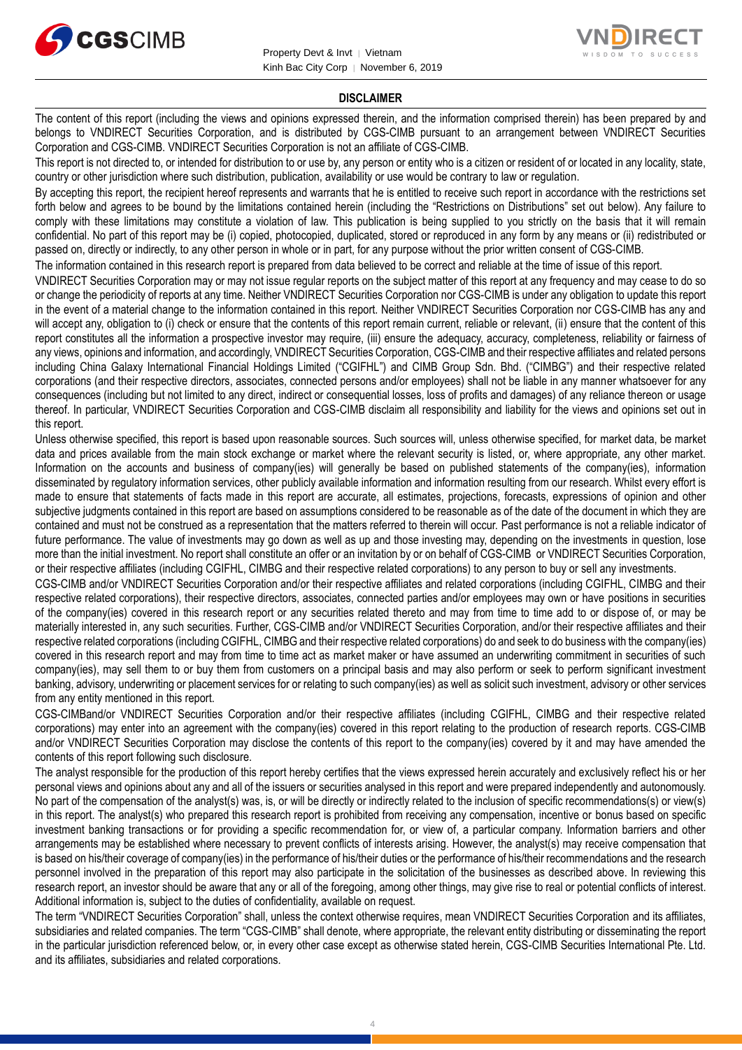



#### **DISCLAIMER**

The content of this report (including the views and opinions expressed therein, and the information comprised therein) has been prepared by and belongs to VNDIRECT Securities Corporation, and is distributed by CGS-CIMB pursuant to an arrangement between VNDIRECT Securities Corporation and CGS-CIMB. VNDIRECT Securities Corporation is not an affiliate of CGS-CIMB.

This report is not directed to, or intended for distribution to or use by, any person or entity who is a citizen or resident of or located in any locality, state, country or other jurisdiction where such distribution, publication, availability or use would be contrary to law or regulation.

By accepting this report, the recipient hereof represents and warrants that he is entitled to receive such report in accordance with the restrictions set forth below and agrees to be bound by the limitations contained herein (including the "Restrictions on Distributions" set out below). Any failure to comply with these limitations may constitute a violation of law. This publication is being supplied to you strictly on the basis that it will remain confidential. No part of this report may be (i) copied, photocopied, duplicated, stored or reproduced in any form by any means or (ii) redistributed or passed on, directly or indirectly, to any other person in whole or in part, for any purpose without the prior written consent of CGS-CIMB.

The information contained in this research report is prepared from data believed to be correct and reliable at the time of issue of this report.

VNDIRECT Securities Corporation may or may not issue regular reports on the subject matter of this report at any frequency and may cease to do so or change the periodicity of reports at any time. Neither VNDIRECT Securities Corporation nor CGS-CIMB is under any obligation to update this report in the event of a material change to the information contained in this report. Neither VNDIRECT Securities Corporation nor CGS-CIMB has any and will accept any, obligation to (i) check or ensure that the contents of this report remain current, reliable or relevant, (ii) ensure that the content of this report constitutes all the information a prospective investor may require, (iii) ensure the adequacy, accuracy, completeness, reliability or fairness of any views, opinions and information, and accordingly, VNDIRECT Securities Corporation, CGS-CIMB and their respective affiliates and related persons including China Galaxy International Financial Holdings Limited ("CGIFHL") and CIMB Group Sdn. Bhd. ("CIMBG") and their respective related corporations (and their respective directors, associates, connected persons and/or employees) shall not be liable in any manner whatsoever for any consequences (including but not limited to any direct, indirect or consequential losses, loss of profits and damages) of any reliance thereon or usage thereof. In particular, VNDIRECT Securities Corporation and CGS-CIMB disclaim all responsibility and liability for the views and opinions set out in this report.

Unless otherwise specified, this report is based upon reasonable sources. Such sources will, unless otherwise specified, for market data, be market data and prices available from the main stock exchange or market where the relevant security is listed, or, where appropriate, any other market. Information on the accounts and business of company(ies) will generally be based on published statements of the company(ies), information disseminated by regulatory information services, other publicly available information and information resulting from our research. Whilst every effort is made to ensure that statements of facts made in this report are accurate, all estimates, projections, forecasts, expressions of opinion and other subjective judgments contained in this report are based on assumptions considered to be reasonable as of the date of the document in which they are contained and must not be construed as a representation that the matters referred to therein will occur. Past performance is not a reliable indicator of future performance. The value of investments may go down as well as up and those investing may, depending on the investments in question, lose more than the initial investment. No report shall constitute an offer or an invitation by or on behalf of CGS-CIMB or VNDIRECT Securities Corporation, or their respective affiliates (including CGIFHL, CIMBG and their respective related corporations) to any person to buy or sell any investments.

CGS-CIMB and/or VNDIRECT Securities Corporation and/or their respective affiliates and related corporations (including CGIFHL, CIMBG and their respective related corporations), their respective directors, associates, connected parties and/or employees may own or have positions in securities of the company(ies) covered in this research report or any securities related thereto and may from time to time add to or dispose of, or may be materially interested in, any such securities. Further, CGS-CIMB and/or VNDIRECT Securities Corporation, and/or their respective affiliates and their respective related corporations (including CGIFHL, CIMBG and their respective related corporations) do and seek to do business with the company(ies) covered in this research report and may from time to time act as market maker or have assumed an underwriting commitment in securities of such company(ies), may sell them to or buy them from customers on a principal basis and may also perform or seek to perform significant investment banking, advisory, underwriting or placement services for or relating to such company(ies) as well as solicit such investment, advisory or other services from any entity mentioned in this report.

CGS-CIMBand/or VNDIRECT Securities Corporation and/or their respective affiliates (including CGIFHL, CIMBG and their respective related corporations) may enter into an agreement with the company(ies) covered in this report relating to the production of research reports. CGS-CIMB and/or VNDIRECT Securities Corporation may disclose the contents of this report to the company(ies) covered by it and may have amended the contents of this report following such disclosure.

The analyst responsible for the production of this report hereby certifies that the views expressed herein accurately and exclusively reflect his or her personal views and opinions about any and all of the issuers or securities analysed in this report and were prepared independently and autonomously. No part of the compensation of the analyst(s) was, is, or will be directly or indirectly related to the inclusion of specific recommendations(s) or view(s) in this report. The analyst(s) who prepared this research report is prohibited from receiving any compensation, incentive or bonus based on specific investment banking transactions or for providing a specific recommendation for, or view of, a particular company. Information barriers and other arrangements may be established where necessary to prevent conflicts of interests arising. However, the analyst(s) may receive compensation that is based on his/their coverage of company(ies) in the performance of his/their duties or the performance of his/their recommendations and the research personnel involved in the preparation of this report may also participate in the solicitation of the businesses as described above. In reviewing this research report, an investor should be aware that any or all of the foregoing, among other things, may give rise to real or potential conflicts of interest. Additional information is, subject to the duties of confidentiality, available on request.

The term "VNDIRECT Securities Corporation" shall, unless the context otherwise requires, mean VNDIRECT Securities Corporation and its affiliates, subsidiaries and related companies. The term "CGS-CIMB" shall denote, where appropriate, the relevant entity distributing or disseminating the report in the particular jurisdiction referenced below, or, in every other case except as otherwise stated herein, CGS-CIMB Securities International Pte. Ltd. and its affiliates, subsidiaries and related corporations.

4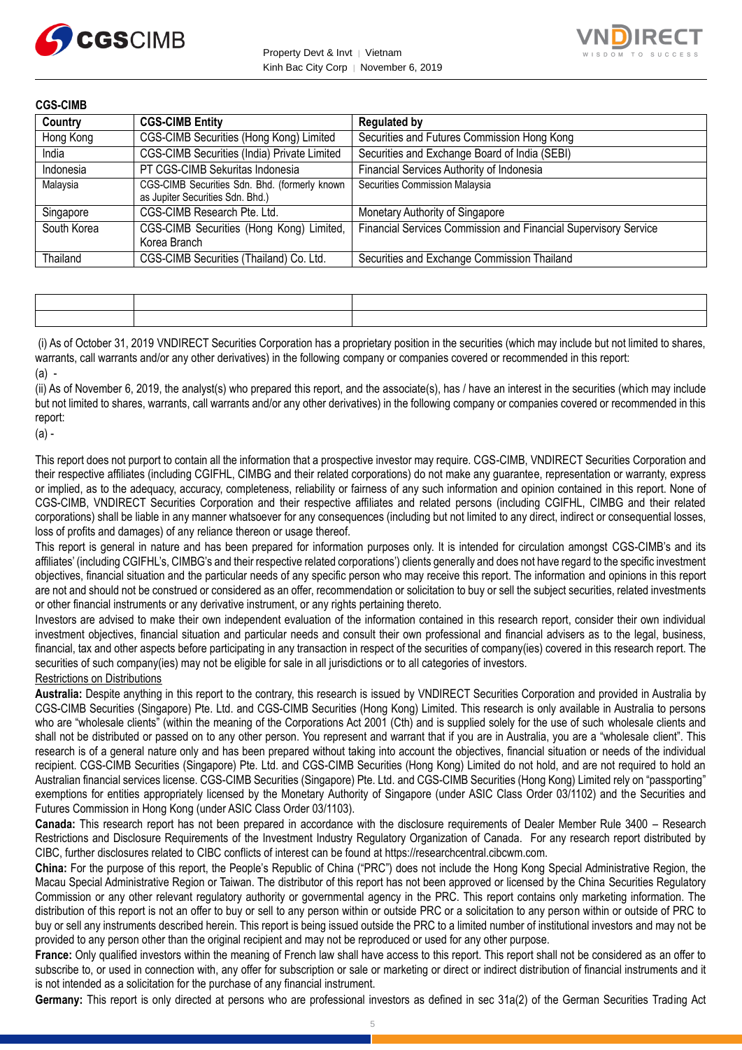



| <b>CGS-CIMB</b> |                                                                                   |                                                                 |
|-----------------|-----------------------------------------------------------------------------------|-----------------------------------------------------------------|
| Country         | <b>CGS-CIMB Entity</b>                                                            | <b>Regulated by</b>                                             |
| Hong Kong       | CGS-CIMB Securities (Hong Kong) Limited                                           | Securities and Futures Commission Hong Kong                     |
| India           | CGS-CIMB Securities (India) Private Limited                                       | Securities and Exchange Board of India (SEBI)                   |
| Indonesia       | PT CGS-CIMB Sekuritas Indonesia                                                   | Financial Services Authority of Indonesia                       |
| Malaysia        | CGS-CIMB Securities Sdn. Bhd. (formerly known<br>as Jupiter Securities Sdn. Bhd.) | Securities Commission Malaysia                                  |
| Singapore       | CGS-CIMB Research Pte. Ltd.                                                       | Monetary Authority of Singapore                                 |
| South Korea     | CGS-CIMB Securities (Hong Kong) Limited,<br>Korea Branch                          | Financial Services Commission and Financial Supervisory Service |
| Thailand        | CGS-CIMB Securities (Thailand) Co. Ltd.                                           | Securities and Exchange Commission Thailand                     |

(i) As of October 31, 2019 VNDIRECT Securities Corporation has a proprietary position in the securities (which may include but not limited to shares, warrants, call warrants and/or any other derivatives) in the following company or companies covered or recommended in this report:  $(a)$  -

(ii) As of November 6, 2019, the analyst(s) who prepared this report, and the associate(s), has / have an interest in the securities (which may include but not limited to shares, warrants, call warrants and/or any other derivatives) in the following company or companies covered or recommended in this report:

(a) -

This report does not purport to contain all the information that a prospective investor may require. CGS-CIMB, VNDIRECT Securities Corporation and their respective affiliates (including CGIFHL, CIMBG and their related corporations) do not make any guarantee, representation or warranty, express or implied, as to the adequacy, accuracy, completeness, reliability or fairness of any such information and opinion contained in this report. None of CGS-CIMB, VNDIRECT Securities Corporation and their respective affiliates and related persons (including CGIFHL, CIMBG and their related corporations) shall be liable in any manner whatsoever for any consequences (including but not limited to any direct, indirect or consequential losses, loss of profits and damages) of any reliance thereon or usage thereof.

This report is general in nature and has been prepared for information purposes only. It is intended for circulation amongst CGS-CIMB's and its affiliates' (including CGIFHL's, CIMBG's and their respective related corporations') clients generally and does not have regard to the specific investment objectives, financial situation and the particular needs of any specific person who may receive this report. The information and opinions in this report are not and should not be construed or considered as an offer, recommendation or solicitation to buy or sell the subject securities, related investments or other financial instruments or any derivative instrument, or any rights pertaining thereto.

Investors are advised to make their own independent evaluation of the information contained in this research report, consider their own individual investment objectives, financial situation and particular needs and consult their own professional and financial advisers as to the legal, business, financial, tax and other aspects before participating in any transaction in respect of the securities of company(ies) covered in this research report. The securities of such company(ies) may not be eligible for sale in all jurisdictions or to all categories of investors.

#### Restrictions on Distributions

**Australia:** Despite anything in this report to the contrary, this research is issued by VNDIRECT Securities Corporation and provided in Australia by CGS-CIMB Securities (Singapore) Pte. Ltd. and CGS-CIMB Securities (Hong Kong) Limited. This research is only available in Australia to persons who are "wholesale clients" (within the meaning of the Corporations Act 2001 (Cth) and is supplied solely for the use of such wholesale clients and shall not be distributed or passed on to any other person. You represent and warrant that if you are in Australia, you are a "wholesale client". This research is of a general nature only and has been prepared without taking into account the objectives, financial situation or needs of the individual recipient. CGS-CIMB Securities (Singapore) Pte. Ltd. and CGS-CIMB Securities (Hong Kong) Limited do not hold, and are not required to hold an Australian financial services license. CGS-CIMB Securities (Singapore) Pte. Ltd. and CGS-CIMB Securities (Hong Kong) Limited rely on "passporting" exemptions for entities appropriately licensed by the Monetary Authority of Singapore (under ASIC Class Order 03/1102) and the Securities and Futures Commission in Hong Kong (under ASIC Class Order 03/1103).

**Canada:** This research report has not been prepared in accordance with the disclosure requirements of Dealer Member Rule 3400 – Research Restrictions and Disclosure Requirements of the Investment Industry Regulatory Organization of Canada. For any research report distributed by CIBC, further disclosures related to CIBC conflicts of interest can be found at https://researchcentral.cibcwm.com.

**China:** For the purpose of this report, the People's Republic of China ("PRC") does not include the Hong Kong Special Administrative Region, the Macau Special Administrative Region or Taiwan. The distributor of this report has not been approved or licensed by the China Securities Regulatory Commission or any other relevant regulatory authority or governmental agency in the PRC. This report contains only marketing information. The distribution of this report is not an offer to buy or sell to any person within or outside PRC or a solicitation to any person within or outside of PRC to buy or sell any instruments described herein. This report is being issued outside the PRC to a limited number of institutional investors and may not be provided to any person other than the original recipient and may not be reproduced or used for any other purpose.

**France:** Only qualified investors within the meaning of French law shall have access to this report. This report shall not be considered as an offer to subscribe to, or used in connection with, any offer for subscription or sale or marketing or direct or indirect distribution of financial instruments and it is not intended as a solicitation for the purchase of any financial instrument.

**Germany:** This report is only directed at persons who are professional investors as defined in sec 31a(2) of the German Securities Trading Act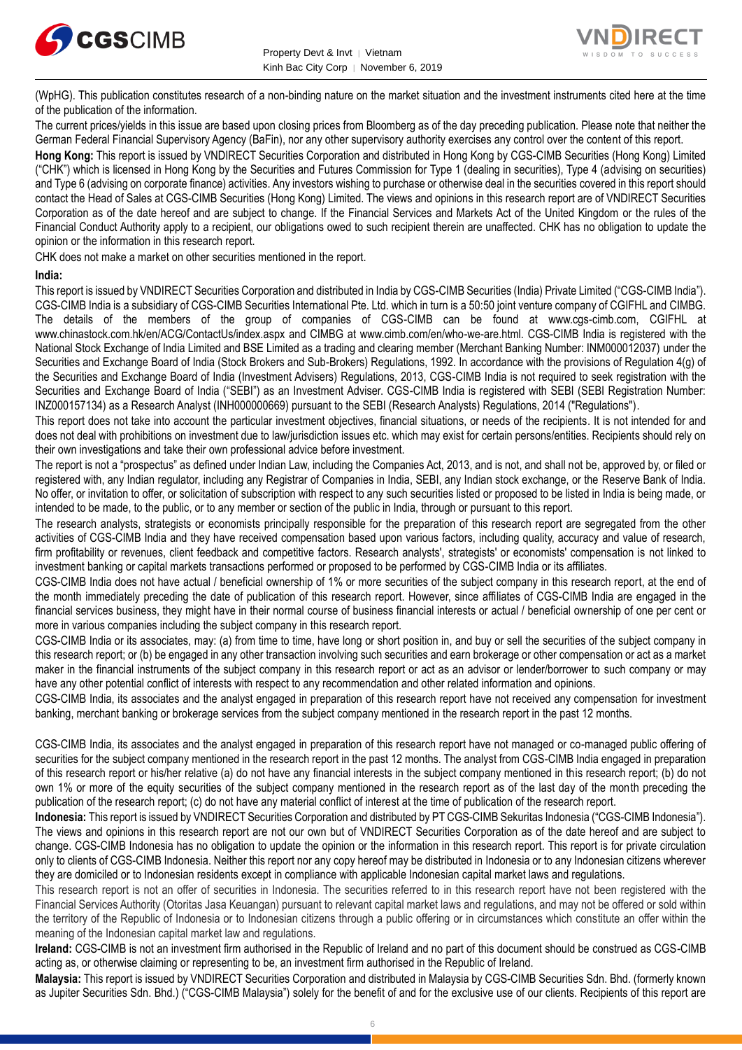



(WpHG). This publication constitutes research of a non-binding nature on the market situation and the investment instruments cited here at the time of the publication of the information.

The current prices/yields in this issue are based upon closing prices from Bloomberg as of the day preceding publication. Please note that neither the German Federal Financial Supervisory Agency (BaFin), nor any other supervisory authority exercises any control over the content of this report.

**Hong Kong:** This report is issued by VNDIRECT Securities Corporation and distributed in Hong Kong by CGS-CIMB Securities (Hong Kong) Limited ("CHK") which is licensed in Hong Kong by the Securities and Futures Commission for Type 1 (dealing in securities), Type 4 (advising on securities) and Type 6 (advising on corporate finance) activities. Any investors wishing to purchase or otherwise deal in the securities covered in this report should contact the Head of Sales at CGS-CIMB Securities (Hong Kong) Limited. The views and opinions in this research report are of VNDIRECT Securities Corporation as of the date hereof and are subject to change. If the Financial Services and Markets Act of the United Kingdom or the rules of the Financial Conduct Authority apply to a recipient, our obligations owed to such recipient therein are unaffected. CHK has no obligation to update the opinion or the information in this research report.

CHK does not make a market on other securities mentioned in the report.

#### **India:**

This report is issued by VNDIRECT Securities Corporation and distributed in India by CGS-CIMB Securities (India) Private Limited ("CGS-CIMB India"). CGS-CIMB India is a subsidiary of CGS-CIMB Securities International Pte. Ltd. which in turn is a 50:50 joint venture company of CGIFHL and CIMBG. The details of the members of the group of companies of CGS-CIMB can be found at www.cgs-cimb.com, CGIFHL at www.chinastock.com.hk/en/ACG/ContactUs/index.aspx and CIMBG at www.cimb.com/en/who-we-are.html. CGS-CIMB India is registered with the National Stock Exchange of India Limited and BSE Limited as a trading and clearing member (Merchant Banking Number: INM000012037) under the Securities and Exchange Board of India (Stock Brokers and Sub-Brokers) Regulations, 1992. In accordance with the provisions of Regulation 4(g) of the Securities and Exchange Board of India (Investment Advisers) Regulations, 2013, CGS-CIMB India is not required to seek registration with the Securities and Exchange Board of India ("SEBI") as an Investment Adviser. CGS-CIMB India is registered with SEBI (SEBI Registration Number: INZ000157134) as a Research Analyst (INH000000669) pursuant to the SEBI (Research Analysts) Regulations, 2014 ("Regulations").

This report does not take into account the particular investment objectives, financial situations, or needs of the recipients. It is not intended for and does not deal with prohibitions on investment due to law/jurisdiction issues etc. which may exist for certain persons/entities. Recipients should rely on their own investigations and take their own professional advice before investment.

The report is not a "prospectus" as defined under Indian Law, including the Companies Act, 2013, and is not, and shall not be, approved by, or filed or registered with, any Indian regulator, including any Registrar of Companies in India, SEBI, any Indian stock exchange, or the Reserve Bank of India. No offer, or invitation to offer, or solicitation of subscription with respect to any such securities listed or proposed to be listed in India is being made, or intended to be made, to the public, or to any member or section of the public in India, through or pursuant to this report.

The research analysts, strategists or economists principally responsible for the preparation of this research report are segregated from the other activities of CGS-CIMB India and they have received compensation based upon various factors, including quality, accuracy and value of research, firm profitability or revenues, client feedback and competitive factors. Research analysts', strategists' or economists' compensation is not linked to investment banking or capital markets transactions performed or proposed to be performed by CGS-CIMB India or its affiliates.

CGS-CIMB India does not have actual / beneficial ownership of 1% or more securities of the subject company in this research report, at the end of the month immediately preceding the date of publication of this research report. However, since affiliates of CGS-CIMB India are engaged in the financial services business, they might have in their normal course of business financial interests or actual / beneficial ownership of one per cent or more in various companies including the subject company in this research report.

CGS-CIMB India or its associates, may: (a) from time to time, have long or short position in, and buy or sell the securities of the subject company in this research report; or (b) be engaged in any other transaction involving such securities and earn brokerage or other compensation or act as a market maker in the financial instruments of the subject company in this research report or act as an advisor or lender/borrower to such company or may have any other potential conflict of interests with respect to any recommendation and other related information and opinions.

CGS-CIMB India, its associates and the analyst engaged in preparation of this research report have not received any compensation for investment banking, merchant banking or brokerage services from the subject company mentioned in the research report in the past 12 months.

CGS-CIMB India, its associates and the analyst engaged in preparation of this research report have not managed or co-managed public offering of securities for the subject company mentioned in the research report in the past 12 months. The analyst from CGS-CIMB India engaged in preparation of this research report or his/her relative (a) do not have any financial interests in the subject company mentioned in this research report; (b) do not own 1% or more of the equity securities of the subject company mentioned in the research report as of the last day of the month preceding the publication of the research report; (c) do not have any material conflict of interest at the time of publication of the research report.

**Indonesia:** This report is issued by VNDIRECT Securities Corporation and distributed by PT CGS-CIMB Sekuritas Indonesia ("CGS-CIMB Indonesia"). The views and opinions in this research report are not our own but of VNDIRECT Securities Corporation as of the date hereof and are subject to change. CGS-CIMB Indonesia has no obligation to update the opinion or the information in this research report. This report is for private circulation only to clients of CGS-CIMB Indonesia. Neither this report nor any copy hereof may be distributed in Indonesia or to any Indonesian citizens wherever they are domiciled or to Indonesian residents except in compliance with applicable Indonesian capital market laws and regulations.

This research report is not an offer of securities in Indonesia. The securities referred to in this research report have not been registered with the Financial Services Authority (Otoritas Jasa Keuangan) pursuant to relevant capital market laws and regulations, and may not be offered or sold within the territory of the Republic of Indonesia or to Indonesian citizens through a public offering or in circumstances which constitute an offer within the meaning of the Indonesian capital market law and regulations.

**Ireland:** CGS-CIMB is not an investment firm authorised in the Republic of Ireland and no part of this document should be construed as CGS-CIMB acting as, or otherwise claiming or representing to be, an investment firm authorised in the Republic of Ireland.

**Malaysia:** This report is issued by VNDIRECT Securities Corporation and distributed in Malaysia by CGS-CIMB Securities Sdn. Bhd. (formerly known as Jupiter Securities Sdn. Bhd.) ("CGS-CIMB Malaysia") solely for the benefit of and for the exclusive use of our clients. Recipients of this report are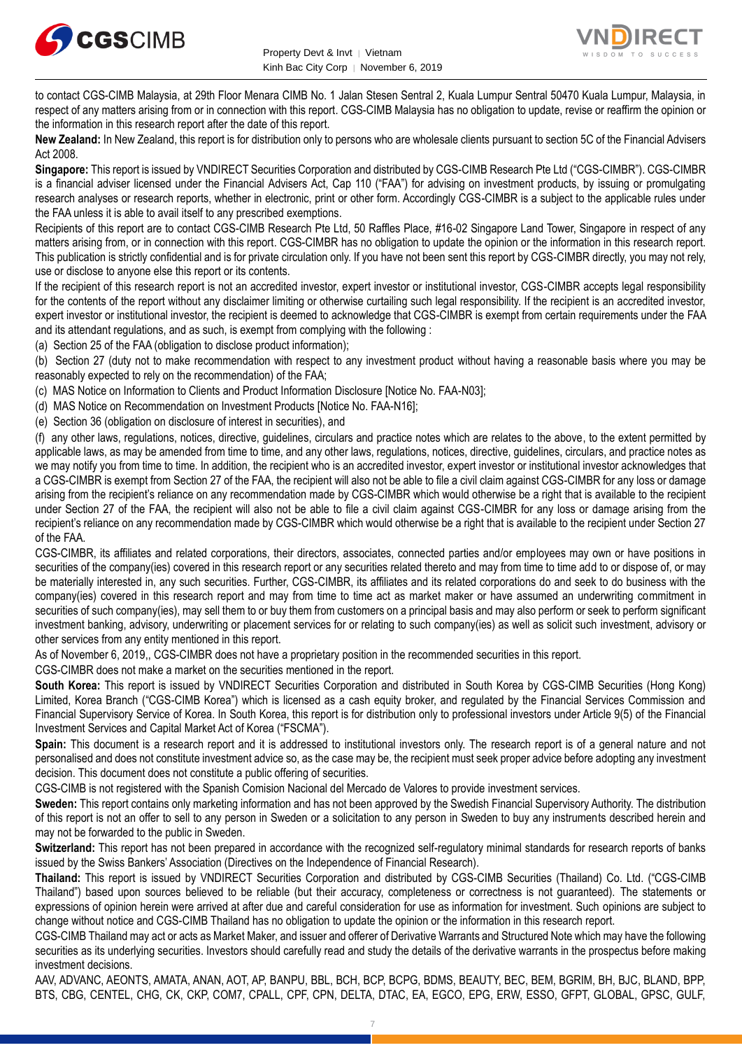



to contact CGS-CIMB Malaysia, at 29th Floor Menara CIMB No. 1 Jalan Stesen Sentral 2, Kuala Lumpur Sentral 50470 Kuala Lumpur, Malaysia, in respect of any matters arising from or in connection with this report. CGS-CIMB Malaysia has no obligation to update, revise or reaffirm the opinion or the information in this research report after the date of this report.

**New Zealand:** In New Zealand, this report is for distribution only to persons who are wholesale clients pursuant to section 5C of the Financial Advisers Act 2008.

**Singapore:** This report is issued by VNDIRECT Securities Corporation and distributed by CGS-CIMB Research Pte Ltd ("CGS-CIMBR"). CGS-CIMBR is a financial adviser licensed under the Financial Advisers Act, Cap 110 ("FAA") for advising on investment products, by issuing or promulgating research analyses or research reports, whether in electronic, print or other form. Accordingly CGS-CIMBR is a subject to the applicable rules under the FAA unless it is able to avail itself to any prescribed exemptions.

Recipients of this report are to contact CGS-CIMB Research Pte Ltd, 50 Raffles Place, #16-02 Singapore Land Tower, Singapore in respect of any matters arising from, or in connection with this report. CGS-CIMBR has no obligation to update the opinion or the information in this research report. This publication is strictly confidential and is for private circulation only. If you have not been sent this report by CGS-CIMBR directly, you may not rely, use or disclose to anyone else this report or its contents.

If the recipient of this research report is not an accredited investor, expert investor or institutional investor, CGS-CIMBR accepts legal responsibility for the contents of the report without any disclaimer limiting or otherwise curtailing such legal responsibility. If the recipient is an accredited investor, expert investor or institutional investor, the recipient is deemed to acknowledge that CGS-CIMBR is exempt from certain requirements under the FAA and its attendant regulations, and as such, is exempt from complying with the following :

(a) Section 25 of the FAA (obligation to disclose product information);

(b) Section 27 (duty not to make recommendation with respect to any investment product without having a reasonable basis where you may be reasonably expected to rely on the recommendation) of the FAA;

(c) MAS Notice on Information to Clients and Product Information Disclosure [Notice No. FAA-N03];

(d) MAS Notice on Recommendation on Investment Products [Notice No. FAA-N16];

(e) Section 36 (obligation on disclosure of interest in securities), and

(f) any other laws, regulations, notices, directive, guidelines, circulars and practice notes which are relates to the above, to the extent permitted by applicable laws, as may be amended from time to time, and any other laws, regulations, notices, directive, guidelines, circulars, and practice notes as we may notify you from time to time. In addition, the recipient who is an accredited investor, expert investor or institutional investor acknowledges that a CGS-CIMBR is exempt from Section 27 of the FAA, the recipient will also not be able to file a civil claim against CGS-CIMBR for any loss or damage arising from the recipient's reliance on any recommendation made by CGS-CIMBR which would otherwise be a right that is available to the recipient under Section 27 of the FAA, the recipient will also not be able to file a civil claim against CGS-CIMBR for any loss or damage arising from the recipient's reliance on any recommendation made by CGS-CIMBR which would otherwise be a right that is available to the recipient under Section 27 of the FAA.

CGS-CIMBR, its affiliates and related corporations, their directors, associates, connected parties and/or employees may own or have positions in securities of the company(ies) covered in this research report or any securities related thereto and may from time to time add to or dispose of, or may be materially interested in, any such securities. Further, CGS-CIMBR, its affiliates and its related corporations do and seek to do business with the company(ies) covered in this research report and may from time to time act as market maker or have assumed an underwriting commitment in securities of such company(ies), may sell them to or buy them from customers on a principal basis and may also perform or seek to perform significant investment banking, advisory, underwriting or placement services for or relating to such company(ies) as well as solicit such investment, advisory or other services from any entity mentioned in this report.

As of November 6, 2019,, CGS-CIMBR does not have a proprietary position in the recommended securities in this report.

CGS-CIMBR does not make a market on the securities mentioned in the report.

**South Korea:** This report is issued by VNDIRECT Securities Corporation and distributed in South Korea by CGS-CIMB Securities (Hong Kong) Limited, Korea Branch ("CGS-CIMB Korea") which is licensed as a cash equity broker, and regulated by the Financial Services Commission and Financial Supervisory Service of Korea. In South Korea, this report is for distribution only to professional investors under Article 9(5) of the Financial Investment Services and Capital Market Act of Korea ("FSCMA").

**Spain:** This document is a research report and it is addressed to institutional investors only. The research report is of a general nature and not personalised and does not constitute investment advice so, as the case may be, the recipient must seek proper advice before adopting any investment decision. This document does not constitute a public offering of securities.

CGS-CIMB is not registered with the Spanish Comision Nacional del Mercado de Valores to provide investment services.

**Sweden:** This report contains only marketing information and has not been approved by the Swedish Financial Supervisory Authority. The distribution of this report is not an offer to sell to any person in Sweden or a solicitation to any person in Sweden to buy any instruments described herein and may not be forwarded to the public in Sweden.

**Switzerland:** This report has not been prepared in accordance with the recognized self-regulatory minimal standards for research reports of banks issued by the Swiss Bankers' Association (Directives on the Independence of Financial Research).

**Thailand:** This report is issued by VNDIRECT Securities Corporation and distributed by CGS-CIMB Securities (Thailand) Co. Ltd. ("CGS-CIMB Thailand") based upon sources believed to be reliable (but their accuracy, completeness or correctness is not guaranteed). The statements or expressions of opinion herein were arrived at after due and careful consideration for use as information for investment. Such opinions are subject to change without notice and CGS-CIMB Thailand has no obligation to update the opinion or the information in this research report.

CGS-CIMB Thailand may act or acts as Market Maker, and issuer and offerer of Derivative Warrants and Structured Note which may have the following securities as its underlying securities. Investors should carefully read and study the details of the derivative warrants in the prospectus before making investment decisions.

AAV, ADVANC, AEONTS, AMATA, ANAN, AOT, AP, BANPU, BBL, BCH, BCP, BCPG, BDMS, BEAUTY, BEC, BEM, BGRIM, BH, BJC, BLAND, BPP, BTS, CBG, CENTEL, CHG, CK, CKP, COM7, CPALL, CPF, CPN, DELTA, DTAC, EA, EGCO, EPG, ERW, ESSO, GFPT, GLOBAL, GPSC, GULF,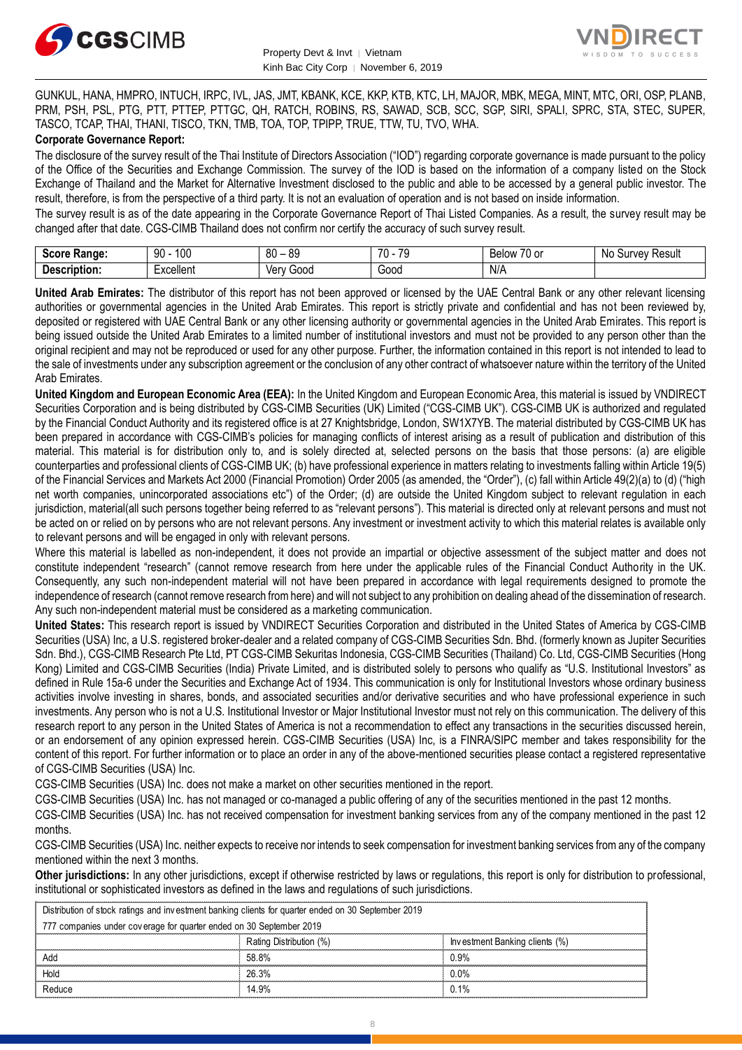



GUNKUL, HANA, HMPRO, INTUCH, IRPC, IVL, JAS, JMT, KBANK, KCE, KKP, KTB, KTC, LH, MAJOR, MBK, MEGA, MINT, MTC, ORI, OSP, PLANB, PRM, PSH, PSL, PTG, PTT, PTTEP, PTTGC, QH, RATCH, ROBINS, RS, SAWAD, SCB, SCC, SGP, SIRI, SPALI, SPRC, STA, STEC, SUPER, TASCO, TCAP, THAI, THANI, TISCO, TKN, TMB, TOA, TOP, TPIPP, TRUE, TTW, TU, TVO, WHA.

#### **Corporate Governance Report:**

The disclosure of the survey result of the Thai Institute of Directors Association ("IOD") regarding corporate governance is made pursuant to the policy of the Office of the Securities and Exchange Commission. The survey of the IOD is based on the information of a company listed on the Stock Exchange of Thailand and the Market for Alternative Investment disclosed to the public and able to be accessed by a general public investor. The result, therefore, is from the perspective of a third party. It is not an evaluation of operation and is not based on inside information.

The survey result is as of the date appearing in the Corporate Governance Report of Thai Listed Companies. As a result, the survey result may be changed after that date. CGS-CIMB Thailand does not confirm nor certify the accuracy of such survey result.

| Soore.<br>Range:<br>экик     | l 00<br>90                   | -RN<br>n c<br>υυ<br>ت∪ | $\overline{\phantom{a}}$<br>70<br>u | $\sim$ $\sim$<br>Relow<br>u or | No<br><b>Result</b><br>survey. |
|------------------------------|------------------------------|------------------------|-------------------------------------|--------------------------------|--------------------------------|
| ------<br>- - --<br>ription: | voollor<br><u>xuellei Il</u> | Verv<br>300C           | -<br>000ن<br>.                      | N/A                            |                                |

**United Arab Emirates:** The distributor of this report has not been approved or licensed by the UAE Central Bank or any other relevant licensing authorities or governmental agencies in the United Arab Emirates. This report is strictly private and confidential and has not been reviewed by, deposited or registered with UAE Central Bank or any other licensing authority or governmental agencies in the United Arab Emirates. This report is being issued outside the United Arab Emirates to a limited number of institutional investors and must not be provided to any person other than the original recipient and may not be reproduced or used for any other purpose. Further, the information contained in this report is not intended to lead to the sale of investments under any subscription agreement or the conclusion of any other contract of whatsoever nature within the territory of the United Arab Emirates.

**United Kingdom and European Economic Area (EEA):** In the United Kingdom and European Economic Area, this material is issued by VNDIRECT Securities Corporation and is being distributed by CGS-CIMB Securities (UK) Limited ("CGS-CIMB UK"). CGS-CIMB UK is authorized and regulated by the Financial Conduct Authority and its registered office is at 27 Knightsbridge, London, SW1X7YB. The material distributed by CGS-CIMB UK has been prepared in accordance with CGS-CIMB's policies for managing conflicts of interest arising as a result of publication and distribution of this material. This material is for distribution only to, and is solely directed at, selected persons on the basis that those persons: (a) are eligible counterparties and professional clients of CGS-CIMB UK; (b) have professional experience in matters relating to investments falling within Article 19(5) of the Financial Services and Markets Act 2000 (Financial Promotion) Order 2005 (as amended, the "Order"), (c) fall within Article 49(2)(a) to (d) ("high net worth companies, unincorporated associations etc") of the Order; (d) are outside the United Kingdom subject to relevant regulation in each jurisdiction, material(all such persons together being referred to as "relevant persons"). This material is directed only at relevant persons and must not be acted on or relied on by persons who are not relevant persons. Any investment or investment activity to which this material relates is available only to relevant persons and will be engaged in only with relevant persons.

Where this material is labelled as non-independent, it does not provide an impartial or objective assessment of the subject matter and does not constitute independent "research" (cannot remove research from here under the applicable rules of the Financial Conduct Authority in the UK. Consequently, any such non-independent material will not have been prepared in accordance with legal requirements designed to promote the independence of research (cannot remove research from here) and will not subject to any prohibition on dealing ahead of the dissemination of research. Any such non-independent material must be considered as a marketing communication.

**United States:** This research report is issued by VNDIRECT Securities Corporation and distributed in the United States of America by CGS-CIMB Securities (USA) Inc, a U.S. registered broker-dealer and a related company of CGS-CIMB Securities Sdn. Bhd. (formerly known as Jupiter Securities Sdn. Bhd.), CGS-CIMB Research Pte Ltd, PT CGS-CIMB Sekuritas Indonesia, CGS-CIMB Securities (Thailand) Co. Ltd, CGS-CIMB Securities (Hong Kong) Limited and CGS-CIMB Securities (India) Private Limited, and is distributed solely to persons who qualify as "U.S. Institutional Investors" as defined in Rule 15a-6 under the Securities and Exchange Act of 1934. This communication is only for Institutional Investors whose ordinary business activities involve investing in shares, bonds, and associated securities and/or derivative securities and who have professional experience in such investments. Any person who is not a U.S. Institutional Investor or Major Institutional Investor must not rely on this communication. The delivery of this research report to any person in the United States of America is not a recommendation to effect any transactions in the securities discussed herein, or an endorsement of any opinion expressed herein. CGS-CIMB Securities (USA) Inc, is a FINRA/SIPC member and takes responsibility for the content of this report. For further information or to place an order in any of the above-mentioned securities please contact a registered representative of CGS-CIMB Securities (USA) Inc.

CGS-CIMB Securities (USA) Inc. does not make a market on other securities mentioned in the report.

CGS-CIMB Securities (USA) Inc. has not managed or co-managed a public offering of any of the securities mentioned in the past 12 months.

CGS-CIMB Securities (USA) Inc. has not received compensation for investment banking services from any of the company mentioned in the past 12 months.

CGS-CIMB Securities (USA) Inc. neither expects to receive nor intends to seek compensation for investment banking services from any of the company mentioned within the next 3 months.

**Other jurisdictions:** In any other jurisdictions, except if otherwise restricted by laws or regulations, this report is only for distribution to professional, institutional or sophisticated investors as defined in the laws and regulations of such jurisdictions. entioned within the next 3 months.<br> **ther jurisdictions:** In any other jurisdictions, except if otherwise restricted by laws antitutional or sophisticated investors as defined in the laws and regulations of such ju<br>
Distri

| Other jurisdictions: In any other jurisdictions, except if otherwise restricted by laws or regulations, this report is only for distribution to<br>institutional or sophisticated investors as defined in the laws and regulations of such jurisdictions. |                         |                                |  |  |  |  |
|-----------------------------------------------------------------------------------------------------------------------------------------------------------------------------------------------------------------------------------------------------------|-------------------------|--------------------------------|--|--|--|--|
| Distribution of stock ratings and investment banking clients for quarter ended on 30 September 2019                                                                                                                                                       |                         |                                |  |  |  |  |
| 777 companies under coverage for quarter ended on 30 September 2019                                                                                                                                                                                       |                         |                                |  |  |  |  |
|                                                                                                                                                                                                                                                           | Rating Distribution (%) | Investment Banking clients (%) |  |  |  |  |
| Add                                                                                                                                                                                                                                                       | 58.8%                   | 0.9%                           |  |  |  |  |
| Hold                                                                                                                                                                                                                                                      | 26.3%                   | $0.0\%$                        |  |  |  |  |
| Reduce                                                                                                                                                                                                                                                    | 14.9%                   | 0.1%                           |  |  |  |  |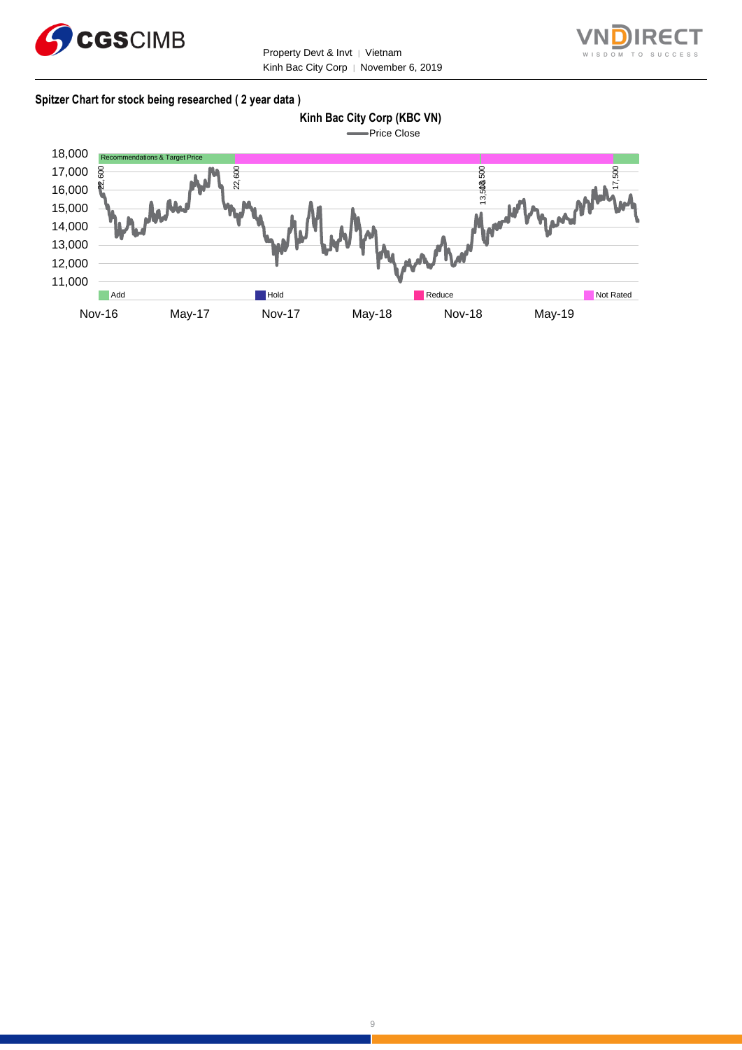



#### **Spitzer Chart for stock being researched ( 2 year data )**

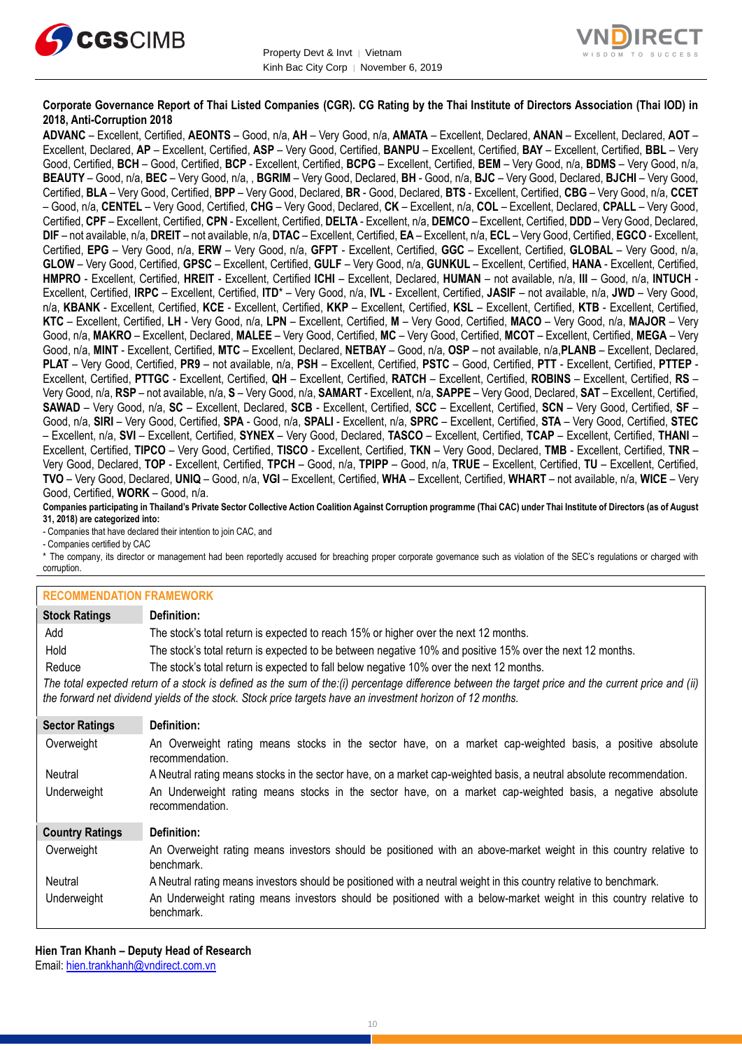



#### **Corporate Governance Report of Thai Listed Companies (CGR). CG Rating by the Thai Institute of Directors Association (Thai IOD) in 2018, Anti-Corruption 2018**

**ADVANC** – Excellent, Certified, **AEONTS** – Good, n/a, **AH** – Very Good, n/a, **AMATA** – Excellent, Declared, **ANAN** – Excellent, Declared, **AOT** – Excellent, Declared, **AP** – Excellent, Certified, **ASP** – Very Good, Certified, **BANPU** – Excellent, Certified, **BAY** – Excellent, Certified, **BBL** – Very Good, Certified, **BCH** – Good, Certified, **BCP** - Excellent, Certified, **BCPG** – Excellent, Certified, **BEM** – Very Good, n/a, **BDMS** – Very Good, n/a, **BEAUTY** – Good, n/a, **BEC** – Very Good, n/a, , **BGRIM** – Very Good, Declared, **BH** - Good, n/a, **BJC** – Very Good, Declared, **BJCHI** – Very Good, Certified, **BLA** – Very Good, Certified, **BPP** – Very Good, Declared, **BR** - Good, Declared, **BTS** - Excellent, Certified, **CBG** – Very Good, n/a, **CCET** – Good, n/a, **CENTEL** – Very Good, Certified, **CHG** – Very Good, Declared, **CK** – Excellent, n/a, **COL** – Excellent, Declared, **CPALL** – Very Good, Certified, **CPF** – Excellent, Certified, **CPN** - Excellent, Certified, **DELTA** - Excellent, n/a, **DEMCO** – Excellent, Certified, **DDD** – Very Good, Declared, **DIF** – not available, n/a, **DREIT** – not available, n/a, **DTAC** – Excellent, Certified, **EA** – Excellent, n/a, **ECL** – Very Good, Certified, **EGCO** - Excellent, Certified, **EPG** – Very Good, n/a, **ERW** – Very Good, n/a, **GFPT** - Excellent, Certified, **GGC** – Excellent, Certified, **GLOBAL** – Very Good, n/a, **GLOW** – Very Good, Certified, **GPSC** – Excellent, Certified, **GULF** – Very Good, n/a, **GUNKUL** – Excellent, Certified, **HANA** - Excellent, Certified, **HMPRO** - Excellent, Certified, **HREIT** - Excellent, Certified **ICHI** – Excellent, Declared, **HUMAN** – not available, n/a, **III** – Good, n/a, **INTUCH** - Excellent, Certified, **IRPC** – Excellent, Certified, **ITD**\* – Very Good, n/a, **IVL** - Excellent, Certified, **JASIF** – not available, n/a, **JWD** – Very Good, n/a, **KBANK** - Excellent, Certified, **KCE** - Excellent, Certified, **KKP** – Excellent, Certified, **KSL** – Excellent, Certified, **KTB** - Excellent, Certified, **KTC** – Excellent, Certified, **LH** - Very Good, n/a, **LPN** – Excellent, Certified, **M** – Very Good, Certified, **MACO** – Very Good, n/a, **MAJOR** – Very Good, n/a, **MAKRO** – Excellent, Declared, **MALEE** – Very Good, Certified, **MC** – Very Good, Certified, **MCOT** – Excellent, Certified, **MEGA** – Very Good, n/a, **MINT** - Excellent, Certified, **MTC** – Excellent, Declared, **NETBAY** – Good, n/a, **OSP** – not available, n/a,**PLANB** – Excellent, Declared, **PLAT** – Very Good, Certified, **PR9** – not available, n/a, **PSH** – Excellent, Certified, **PSTC** – Good, Certified, **PTT** - Excellent, Certified, **PTTEP** - Excellent, Certified, **PTTGC** - Excellent, Certified, **QH** – Excellent, Certified, **RATCH** – Excellent, Certified, **ROBINS** – Excellent, Certified, **RS** – Very Good, n/a, **RSP** – not available, n/a, **S** – Very Good, n/a, **SAMART** - Excellent, n/a, **SAPPE** – Very Good, Declared, **SAT** – Excellent, Certified, **SAWAD** – Very Good, n/a, **SC** – Excellent, Declared, **SCB** - Excellent, Certified, **SCC** – Excellent, Certified, **SCN** – Very Good, Certified, **SF** – Good, n/a, **SIRI** – Very Good, Certified, **SPA** - Good, n/a, **SPALI** - Excellent, n/a, **SPRC** – Excellent, Certified, **STA** – Very Good, Certified, **STEC** – Excellent, n/a, **SVI** – Excellent, Certified, **SYNEX** – Very Good, Declared, **TASCO** – Excellent, Certified, **TCAP** – Excellent, Certified, **THANI** – Excellent, Certified, **TIPCO** – Very Good, Certified, **TISCO** - Excellent, Certified, **TKN** – Very Good, Declared, **TMB** - Excellent, Certified, **TNR** – Very Good, Declared, **TOP** - Excellent, Certified, **TPCH** – Good, n/a, **TPIPP** – Good, n/a, **TRUE** – Excellent, Certified, **TU** – Excellent, Certified, **TVO** – Very Good, Declared, **UNIQ** – Good, n/a, **VGI** – Excellent, Certified, **WHA** – Excellent, Certified, **WHART** – not available, n/a, **WICE** – Very Good, Certified, **WORK** – Good, n/a.

**Companies participating in Thailand's Private Sector Collective Action Coalition Against Corruption programme (Thai CAC) under Thai Institute of Directors (as of August 31, 2018) are categorized into:**

- Companies that have declared their intention to join CAC, and

- Companies certified by CAC

\* The company, its director or management had been reportedly accused for breaching proper corporate governance such as violation of the SEC's regulations or charged with corruption.

#### **RECOMMENDATION FRAMEWORK**

| <b>Stock Ratings</b>   | Definition:                                                                                                                                                                                                                                                       |  |  |
|------------------------|-------------------------------------------------------------------------------------------------------------------------------------------------------------------------------------------------------------------------------------------------------------------|--|--|
| Add                    | The stock's total return is expected to reach 15% or higher over the next 12 months.                                                                                                                                                                              |  |  |
| Hold                   | The stock's total return is expected to be between negative 10% and positive 15% over the next 12 months.                                                                                                                                                         |  |  |
| Reduce                 | The stock's total return is expected to fall below negative 10% over the next 12 months.                                                                                                                                                                          |  |  |
|                        | The total expected return of a stock is defined as the sum of the:(i) percentage difference between the target price and the current price and (ii)<br>the forward net dividend yields of the stock. Stock price targets have an investment horizon of 12 months. |  |  |
| <b>Sector Ratings</b>  | Definition:                                                                                                                                                                                                                                                       |  |  |
| Overweight             | An Overweight rating means stocks in the sector have, on a market cap-weighted basis, a positive absolute<br>recommendation.                                                                                                                                      |  |  |
| Neutral                | A Neutral rating means stocks in the sector have, on a market cap-weighted basis, a neutral absolute recommendation.                                                                                                                                              |  |  |
| Underweight            | An Underweight rating means stocks in the sector have, on a market cap-weighted basis, a negative absolute<br>recommendation.                                                                                                                                     |  |  |
| <b>Country Ratings</b> | Definition:                                                                                                                                                                                                                                                       |  |  |
| Overweight             | An Overweight rating means investors should be positioned with an above-market weight in this country relative to<br>benchmark.                                                                                                                                   |  |  |
| Neutral                | A Neutral rating means investors should be positioned with a neutral weight in this country relative to benchmark.                                                                                                                                                |  |  |
| Underweight            | An Underweight rating means investors should be positioned with a below-market weight in this country relative to<br>benchmark.                                                                                                                                   |  |  |

**Hien Tran Khanh – Deputy Head of Research** Email: [hien.trankhanh@vndirect.com.vn](mailto:hien.trankhanh@vndirect.com.vn)